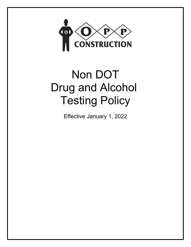

# Non DOT Drug and Alcohol Testing Policy

Effective January 1, 2022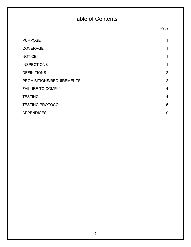# Table of Contents

Page

# PURPOSE and the state of the state of the state of the state of the state of the state of the state of the state of the state of the state of the state of the state of the state of the state of the state of the state of th COVERAGE 2012 12:00 12:00 12:00 12:00 12:00 12:00 12:00 12:00 12:00 12:00 12:00 12:00 12:00 12:00 12:00 12:00 12:00 12:00 12:00 12:00 12:00 12:00 12:00 12:00 12:00 12:00 12:00 12:00 12:00 12:00 12:00 12:00 12:00 12:00 12:0 NOTICE and the state of the state of the state of the state of the state of the state of the state of the state of the state of the state of the state of the state of the state of the state of the state of the state of the **INSPECTIONS** 1 DEFINITIONS 2 PROHIBITIONS/REQUIREMENTS 2 FAILURE TO COMPLY 4 TESTING 4 TESTING PROTOCOL 5 APPENDICES 9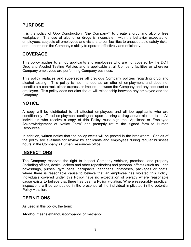# **PURPOSE**

It is the policy of Opp Construction ("the Company") to create a drug and alcohol free workplace. The use of alcohol or drugs is inconsistent with the behavior expected of employees, subjects all employees and visitors to our facilities to unacceptable safety risks, and undermines the Company's ability to operate effectively and efficiently.

# **COVERAGE**

This policy applies to all job applicants and employees who are not covered by the DOT Drug and Alcohol Testing Policies and is applicable at all Company facilities or wherever Company employees are performing Company business.

This policy replaces and supersedes all previous Company policies regarding drug and alcohol testing. This policy is not intended as an offer of employment and does not constitute a contract, either express or implied, between the Company and any applicant or employee. This policy does not alter the at-will relationship between any employee and the Company.

# **NOTICE**

A copy will be distributed to all affected employees and all job applicants who are conditionally offered employment contingent upon passing a drug and/or alcohol test. All individuals who receive a copy of this Policy must sign the "Applicant or Employee Acknowledgement of Notice Form" and promptly return the signed form to Human Resources.

In addition, written notice that the policy exists will be posted in the breakroom. Copies of the policy are available for review by applicants and employees during regular business hours in the Company's Human Resources office.

# **INSPECTIONS**

The Company reserves the right to inspect Company vehicles, premises, and property (including offices, desks, lockers and other repositories) and personal effects (such as lunch boxes/bags, purses, gym bags, backpacks, handbags, briefcases, packages or coats) where there is reasonable cause to believe that an employee has violated this Policy. Individuals covered under this Policy have no expectation of privacy where reasonable cause exists to believe that there has been a Policy violation. Where reasonably practical, inspections will be conducted in the presence of the individual implicated in the potential Policy violation.

# **DEFINITIONS**

As used in this policy, the term:

**Alcohol** means ethanol, isopropanol, or methanol.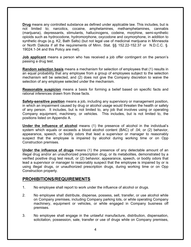**Drug** means any controlled substance as defined under applicable law. This includes, but is not limited to; narcotics, cocaine, amphetamines, methamphetamines, cannabis (marijuana), depressants, stimulants, hallucinogens, codeine, morphine, semi-synthetic opioids such as hydrocodone, hydromorphone, oxycodone and oxymorphone, in addition to synthetic drugs (e.g. K2, Bath Salts) (but not legal use of medicinal marijuana in Minnesota or North Dakota if all the requirements of Minn. Stat. §§ 152.22-152.37 or N.D.C.C. § 19024.1-34 and this Policy are met).

**Job applicant** means a person who has received a job offer contingent on the person's passing a drug test.

**Random selection basis** means a mechanism for selection of employees that (1) results in an equal probability that any employee from a group of employees subject to the selection mechanism will be selected, and (2) does not give the Company discretion to waive the selection of any employee selected under the mechanism.

**Reasonable suspicion** means a basis for forming a belief based on specific facts and rational inferences drawn from those facts.

**Safety-sensitive position** means a job, including any supervisory or management position, in which an impairment caused by drug or alcohol usage would threaten the health or safety of any person. It includes, but is not limited to, any job that involves using or operating Company equipment, machinery, or vehicles. This includes, but is not limited to, the positions listed on Appendix A.

**Under the influence of alcohol** means (1) the presence of alcohol in the individual's system which equals or exceeds a blood alcohol content (BAC) of .04; or (2) behavior, appearance, speech, or bodily odors that lead a supervisor or manager to reasonably suspect that the employee is impaired by alcohol during working time or on Opp Construction premises.

**Under the influence of drugs** means (1) the presence of any detectable amount of an illegal drug and/or an unauthorized prescription drug, or its metabolites, demonstrated by a verified positive drug test result, or (2) behavior, appearance, speech, or bodily odors that lead a supervisor or manager to reasonably suspect that the employee is impaired by or is using illegal drugs, or unauthorized prescription drugs, during working time or on Opp Construction property.

# **PROHIBITIONS/REQUIREMENTS**

- 1. No employee shall report to work under the influence of alcohol or drugs.
- 2. No employee shall distribute, dispense, possess, sell, transfer, or use alcohol while on Company premises, including Company parking lots, or while operating Company machinery, equipment or vehicles, or while engaged in Company business off premises.
- 3. No employee shall engage in the unlawful manufacture, distribution, dispensation, solicitation, possession, sale, transfer or use of drugs while on Company premises,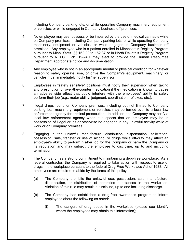including Company parking lots, or while operating Company machinery, equipment or vehicles, or while engaged in Company business off premises.

- 4. No employee may use, possess or be impaired by the use of medical cannabis while on Company premises, including Company parking lots, or while operating Company machinery, equipment or vehicles, or while engaged in Company business off premises. Any employee who is a patient enrolled in Minnesota's Registry Program pursuant to Minn. Stats. §§ 152.22 to 152.37 or in North Dakota's Registry Program pursuant to N.D.C.C. ch. 19-24.1 may elect to provide the Human Resources Department appropriate notice and documentation.
- 5. Any employee who is not in an appropriate mental or physical condition for whatever reason to safely operate, use, or drive the Company's equipment, machinery, or vehicles must immediately notify his/her supervisor.
- 6. Employees in "safety sensitive" positions must notify their supervisor when taking any prescription or over-the-counter medication if the medication is known to cause an adverse side effect that could interfere with the employees' ability to safely perform their job (e.g., motor ability, judgment, coordination, reflexes, etc.).
- 7. Illegal drugs found on Company premises, including but not limited to Company parking lots, machinery, equipment or vehicles, may be turned over to a local law enforcement agency for criminal prosecution. In addition, the Company may notify a local law enforcement agency when it suspects that an employee may be in possession of illegal drugs or otherwise be engaged in any unlawful activity while at work or on Company premises.
- 8. Engaging in the unlawful manufacture, distribution, dispensation, solicitation, possession, sale, transfer or use of alcohol or drugs while off-duty may affect an employee's ability to perform his/her job for the Company or harm the Company or its reputation and may subject the employee to discipline, up to and including termination.
- 9. The Company has a strong commitment to maintaining a drug-free workplace. As a federal contractor, the Company is required to take action with respect to use of drugs in the workplace pursuant to the federal Drug-Free Workplace Act of 1988. All employees are required to abide by the terms of this policy.
	- (a) The Company prohibits the unlawful use, possession, sale, manufacture, dispensation, or distribution of controlled substances in the workplace. Violation of this rule may result in discipline, up to and including discharge.
	- (b) The Company has established a drug-free awareness program to inform employees about the following as noted:
		- (i) The dangers of drug abuse in the workplace (please see identify where the employees may obtain this information);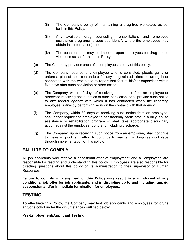- (ii) The Company's policy of maintaining a drug-free workplace as set forth in this Policy;
- (iii) Any available drug counseling, rehabilitation, and employee assistance programs (please see identify where the employees may obtain this information); and
- (iv) The penalties that may be imposed upon employees for drug abuse violations as set forth in this Policy.
- (c) The Company provides each of its employees a copy of this policy.
- (d) The Company requires any employee who is convicted, pleads guilty or enters a plea of nolo contendere for any drug-related crime occurring in or connected with the workplace to report that fact to his/her supervisor within five days after such conviction or other action.
- (e) The Company, within 10 days of receiving such notice from an employee or otherwise receiving actual notice of such conviction, shall provide such notice to any federal agency with which it has contracted when the reporting employee is directly performing work on the contract with that agency.
- (f) The Company, within 30 days of receiving such notice from an employee, shall either require the employee to satisfactorily participate in a drug abuse assistance or rehabilitation program or shall take appropriate disciplinary action against the employee, up to and including discharge.
- (g) The Company, upon receiving such notice from an employee, shall continue to make a good faith effort to continue to maintain a drug-free workplace through implementation of this policy.

# **FAILURE TO COMPLY**

All job applicants who receive a conditional offer of employment and all employees are responsible for reading and understanding this policy. Employees are also responsible for directing questions about this policy or its administration to their supervisor or Human **Resources** 

**Failure to comply with any part of this Policy may result in a withdrawal of any conditional job offer for job applicants, and in discipline up to and including unpaid suspension and/or immediate termination for employees.**

# **TESTING**

To effectuate this Policy, the Company may test job applicants and employees for drugs and/or alcohol under the circumstances outlined below:

#### **Pre-Employment/Applicant Testing**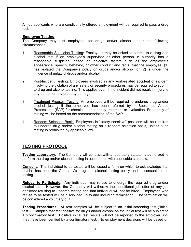All job applicants who are conditionally offered employment will be required to pass a drug test.

#### **Employee Testing**

The Company may test employees for drugs and/or alcohol under the following circumstances:

- 1. Reasonable Suspicion Testing: Employees may be asked to submit to a drug and alcohol test if an employee's supervisor or other person in authority has a reasonable suspicion, based on objective factors such as the employee's appearance, speech, behavior, or other conduct and facts, that the employee: (1) has violated the Company's policy on drugs and/or alcohol; or (2) is under the influence of unlawful drugs and/or alcohol.
- 2. Post-Incident Testing: Employees involved in any work-related accident or incident involving the violation of any safety or security procedures may be required to submit to drug and alcohol testing. This applies even if the incident did not result in injury to any person or any property damage.
- 3. Treatment Program Testing: An employee will be required to undergo drug and/or alcohol testing if the employee has been referred by a Substance Abuse Professional (SAP) for chemical dependency treatment or evaluation. Frequency of testing will be based on the recommendation of the SAP.
- 4. Random Selection Basis: Employees in "safety sensitive" positions will be required to undergo drug and/or alcohol testing on a random selection basis, unless such testing is prohibited by applicable law.

# **TESTING PROTOCOL**

**Testing Laboratory.** The Company will contract with a laboratory statutorily authorized to perform the drug and/or alcohol testing in accordance with applicable state law.

**Consent.** The individual to be tested will be issued a form on which to acknowledge that he/she has seen the Company's drug and alcohol testing policy and to consent to the testing.

**Refusal to Participate.** Any individual may refuse to undergo the required drug and/or alcohol test. However, the Company will withdraw the conditional job offer of any job applicant refusing to undergo testing and that individual will not be hired. Employees who refuse to be tested will be disciplined up to and including termination. The termination will be considered a voluntary quit.

**Testing Procedures.** All test samples will be subject to an initial screening test ("initial test"). Samples that test positive for drugs and/or alcohol on the initial test will be subject to a "confirmatory test." Positive initial test results will not be reported to the employer until they have been verified by a confirmatory test. No employment decisions will be based on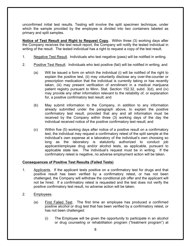unconfirmed initial test results. Testing will involve the split specimen technique, under which the sample provided by the employee is divided into two containers labeled as primary and split samples.

**Notice of Test Result and Right to Request Copy.** Within three (3) working days after the Company receives the test result report, the Company will notify the tested individual in writing of the result. The tested individual has a right to request a copy of the test result.

- 1. Negative Test Result. Individuals who test negative (pass) will be notified in writing.
- 2. Positive Test Result. Individuals who test positive (fail) will be notified in writing, and
	- (a) Will be issued a form on which the individual (i) will be notified of the right to explain the positive test, (ii) may voluntarily disclose any over-the-counter or prescription medication that the individual is currently taking or has recently taken, (iii) may present verification of enrollment in a medical marijuana patient registry pursuant to Minn. Stat. Section 152.32, subd. 3(d), and (iv) may provide any other information relevant to the reliability of, or explanation for, a positive confirmatory test result; and
	- (b) May submit information to the Company, in addition to any information already submitted under the paragraph above, to explain the positive confirmatory test result, provided that any and all information must be received by the Company within three (3) working days of the day the individual received notice of the positive confirmatory test result; and
	- (c) Within five (5) working days after notice of a positive result on a confirmatory test, the individual may request a confirmatory retest of the split sample at the individual's own expense at a laboratory of the individual's own choosing so long as the laboratory is statutorily authorized to conduct job applicant/employee drug and/or alcohol tests, as applicable, pursuant to applicable state law. The individual's request must be in writing. If the confirmatory retest is negative, no adverse employment action will be taken.

#### **Consequences of Positive Test Results (Failed Tests)**

- 1. Applicants. If the applicant tests positive on a confirmatory test for drugs and that positive result has been verified by a confirmatory retest, or has not been challenged, the Company will withdraw the conditional job offer and the applicant will not be hired. If a confirmatory retest is requested and the test does not verify the positive confirmatory test result, no adverse action will be taken.
- 
- 2. Employees.<br>
(a) First Failed Test. The first time an employee has produced a confirmed positive alcohol or drug test that has been verified by a confirmatory retest, or has not been challenged:
	- (i) The Employee will be given the opportunity to participate in an alcohol or drug counseling or rehabilitation program ("treatment program") at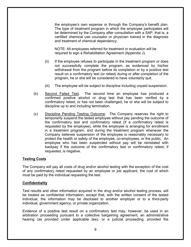the employee's own expense or through the Company's benefit plan. The type of treatment program in which the employee participates will be determined by the Company after consultation with a SAP, that is, a certified chemical use counselor or physician trained in the diagnosis and treatment of chemical dependency.

NOTE: All employees referred for treatment or evaluation will be required to sign a Rehabilitation Agreement (Appendix J).

- (ii) If the employee refuses to participate in the treatment program or does not successfully complete the program, as evidenced by his/her withdrawal from the program before its completion or by a positive test result on a confirmatory test (or retest) during or after completion of the program, he or she will be considered to have voluntarily quit.
- (iii) The employee will be subject to discipline including unpaid suspension.
- (b) Second Failed Test. The second time an employee has produced a confirmed positive alcohol or drug test that has been verified by a confirmatory retest, or has not been challenged, he or she will be subject to discipline up to and including termination.
- (c) Discipline Pending Testing Outcome. The Company reserves the right to temporarily suspend the tested employee without pay pending the outcome of the confirmatory test and confirmatory retest (if a confirmatory retest is requested by the employee), while the employee is arranging for enrollment in a treatment program, and during the treatment program whenever the Company believes suspension of the employee is reasonably necessary to protect the health or safety of the employee, co-employees, or the public. An employee who has been suspended without pay will be reinstated with backpay if the outcome of the confirmatory test or confirmatory retest, if requested, is negative.

#### **Testing Costs**

The Company will pay all costs of drug and/or alcohol testing with the exception of the cost of any confirmatory retest requested by an employee or job applicant, the cost of which must be paid by the individual requesting the test.

#### **Confidentiality**

Test results and other information acquired in the drug and/or alcohol testing process, will be treated as confidential information, except that, with the written consent of the tested individual, the information may be disclosed to another employer or to a third-party individual, government agency, or private organization.

Evidence of a positive test result on a confirmatory test may, however, be used in an arbitration proceeding pursuant to a collective bargaining agreement, an administrative hearing (as provided under applicable law), or a judicial proceeding, provided the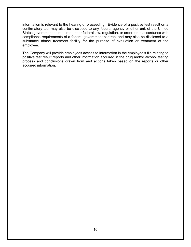information is relevant to the hearing or proceeding. Evidence of a positive test result on a confirmatory test may also be disclosed to any federal agency or other unit of the United States government as required under federal law, regulation, or order, or in accordance with compliance requirements of a federal government contract and may also be disclosed to a substance abuse treatment facility for the purpose of evaluation or treatment of the employee.

The Company will provide employees access to information in the employee's file relating to positive test result reports and other information acquired in the drug and/or alcohol testing process and conclusions drawn from and actions taken based on the reports or other acquired information.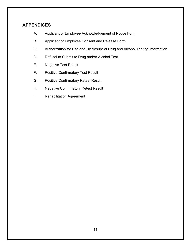# **APPENDICES**

- A. Applicant or Employee Acknowledgement of Notice Form
- B. Applicant or Employee Consent and Release Form
- C. Authorization for Use and Disclosure of Drug and Alcohol Testing Information
- D. Refusal to Submit to Drug and/or Alcohol Test
- E. Negative Test Result
- F. Positive Confirmatory Test Result
- G. Positive Confirmatory Retest Result
- H. Negative Confirmatory Retest Result
- I. Rehabilitation Agreement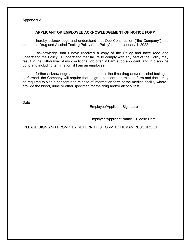Appendix A

#### **APPLICANT OR EMPLOYEE ACKNOWLEDGEMENT OF NOTICE FORM**

I hereby acknowledge and understand that Opp Construction ("the Company") has adopted a Drug and Alcohol Testing Policy ("the Policy") dated January 1, 2022.

I acknowledge that I have received a copy of the Policy and have read and understand the Policy. I understand that failure to comply with any part of the Policy may result in the withdrawal of my conditional job offer, if I am a job applicant, and in discipline up to and including termination, if I am an employee.

I further acknowledge and understand that, at the time drug and/or alcohol testing is performed, the Company will require that I sign a consent and release form and that I may be required to sign a consent and release of information form at the medical facility where I provide the blood, urine or other specimen for the drug and/or alcohol test.

Date

Employee/Applicant Signature

Employee/Applicant Name – Please Print

(PLEASE SIGN AND PROMPTLY RETURN THIS FORM TO HUMAN RESOURCES)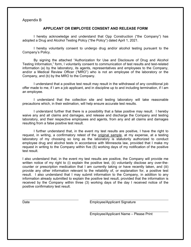#### Appendix B

#### **APPLICANT OR EMPLOYEE CONSENT AND RELEASE FORM**

I hereby acknowledge and understand that Opp Construction ("the Company") has adopted a Drug and Alcohol Testing Policy ("the Policy") dated April 1, 2021.

I hereby voluntarily consent to undergo drug and/or alcohol testing pursuant to the Company's Policy.

By signing the attached "Authorization for Use and Disclosure of Drug and Alcohol Testing Information," form, I voluntarily consent to communication of test results and test-related information (a) by the laboratory, its agents, representatives and employees to the Company, and/or a Medical Review Officer ("MRO") who is not an employee of the laboratory or the Company, and (b) by the MRO to the Company.

I understand that a positive test result may result in the withdrawal of any conditional job offer made to me, if I am a job applicant, and in discipline up to and including termination, if I am an employee.

I understand that the collection site and testing laboratory will take reasonable precautions which, in their estimation, will help ensure accurate test results.

I understand further that there is a possibility that a false positive may result. I hereby waive any and all claims and damages, and release and discharge the Company and testing laboratory, and their respective employees and agents, from any and all claims and damages resulting from a false positive test result.

I further understand that, in the event my test results are positive, I have the right to request, in writing, a confirmatory retest of the original sample, at my expense, at a testing laboratory of my choosing so long as the laboratory is statutorily authorized to conduct employee drug and alcohol tests in accordance with Minnesota law, provided that I make my request in writing to the Company within five (5) working days of my notification of the positive test result.

I also understand that, in the event my test results are positive, the Company will provide me written notice of my right to (i) explain the positive test, (ii) voluntarily disclose any over-thecounter or prescription medication that I am currently taking or have recently taken, and (iii) provide any other information relevant to the reliability of, or explanation for, a positive test result. I also understand that I may submit information to the Company, in addition to any information already submitted to explain the positive test result, provided that the information is received by the Company within three (3) working days of the day I received notice of the positive confirmatory test result.

Date **Employee/Applicant Signature** 

Employee/Applicant Name – Please Print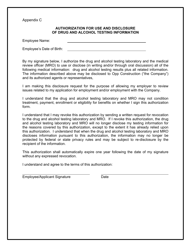Appendix C

#### **AUTHORIZATION FOR USE AND DISCLOSURE OF DRUG AND ALCOHOL TESTING INFORMATION**

Employee Name:

Employee's Date of Birth:

By my signature below, I authorize the drug and alcohol testing laboratory and the medical review officer (MRO) to use or disclose (in writing and/or through oral discussion) all of the following medical information: drug and alcohol testing results plus all related information. The information described above may be disclosed to Opp Construction ("the Company") and its authorized agents or representatives,

I am making this disclosure request for the purpose of allowing my employer to review issues related to my application for employment and/or employment with the Company.

I understand that the drug and alcohol testing laboratory and MRO may not condition treatment, payment, enrollment or eligibility for benefits on whether I sign this authorization form.

I understand that I may revoke this authorization by sending a written request for revocation to the drug and alcohol testing laboratory and MRO. If I revoke this authorization, the drug and alcohol testing laboratory and MRO will no longer disclose my testing information for the reasons covered by this authorization, except to the extent it has already relied upon this authorization. I understand that when the drug and alcohol testing laboratory and MRO discloses information pursuant to this authorization, the information may no longer be protected by federal or state privacy rules and may be subject to re-disclosure by the recipient of the information.

This authorization shall automatically expire one year following the date of my signature without any expressed revocation.

I understand and agree to the terms of this authorization:

Employee/Applicant Signature Date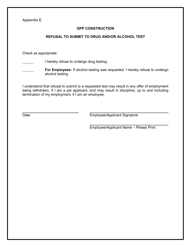Appendix E

#### **OPP CONSTRUCTION**

#### **REFUSAL TO SUBMIT TO DRUG AND/OR ALCOHOL TEST**

Check as appropriate:

I hereby refuse to undergo drug testing.

**For Employees:** If alcohol testing was requested, I hereby refuse to undergo alcohol testing.

I understand that refusal to submit to a requested test may result in any offer of employment being withdrawn, if I am a job applicant, and may result in discipline, up to and including termination of my employment, if I am an employee.

Date **Employee/Applicant Signature** 

Employee/Applicant Name – Please Print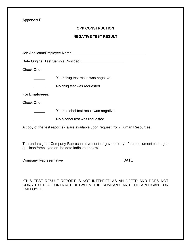Appendix F

#### **OPP CONSTRUCTION**

#### **NEGATIVE TEST RESULT**

Job Applicant/Employee Name:

Date Original Test Sample Provided :

Check One:

Your drug test result was negative.

No drug test was requested.

#### **For Employees:**

 $\mathcal{L}^{\text{max}}$  . The set of  $\mathcal{L}^{\text{max}}$ 

Check One:

**The Strutter Vour alcohol test result was negative.** 

No alcohol test was requested. <u> 1999 - Jan Ja</u>

A copy of the test report(s) is/are available upon request from Human Resources.

The undersigned Company Representative sent or gave a copy of this document to the job applicant/employee on the date indicated below.

Company Representative **DATE**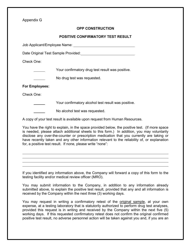Appendix G

#### **OPP CONSTRUCTION**

#### **POSITIVE CONFIRMATORY TEST RESULT**

Job Applicant/Employee Name:

Date Original Test Sample Provided:

Check One:

Your confirmatory drug test result was positive.

No drug test was requested.

#### **For Employees:**

Check One:

Your confirmatory alcohol test result was positive.

No alcohol test was requested.

A copy of your test result is available upon request from Human Resources.

You have the right to explain, in the space provided below, the positive test. (If more space is needed, please attach additional sheets to this form.) In addition, you may voluntarily disclose any over-the-counter or prescription medication that you currently are taking or have recently taken and any other information relevant to the reliability of, or explanation for, a positive test result. If none, please write "none":

If you identified any information above, the Company will forward a copy of this form to the testing facility and/or medical review officer (MRO).

You may submit information to the Company, in addition to any information already submitted above, to explain the positive test result, provided that any and all information is received by the Company within the next three (3) working days.

You may request in writing a confirmatory retest of the original sample, at your own expense, at a testing laboratory that is statutorily authorized to perform drug test analyses, provided this request is in writing and received by the Company within the next five (5) working days. If this requested confirmatory retest does not confirm the original confirmed positive test result, no adverse personnel action will be taken against you and, if you are an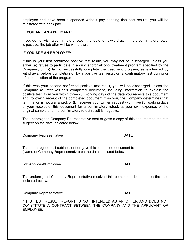employee and have been suspended without pay pending final test results, you will be reinstated with back pay.

#### **IF YOU ARE AN APPLICANT:**

If you do not wish a confirmatory retest, the job offer is withdrawn. If the confirmatory retest is positive, the job offer will be withdrawn.

#### **IF YOU ARE AN EMPLOYEE:**

If this is your first confirmed positive test result, you may not be discharged unless you either (a) refuse to participate in a drug and/or alcohol treatment program specified by the Company, or (b) fail to successfully complete the treatment program, as evidenced by withdrawal before completion or by a positive test result on a confirmatory test during or after completion of the program.

If this was your second confirmed positive test result, you will be discharged unless the Company (a) receives this completed document, including information to explain the positive test, from you within three (3) working days of the date you receive this document and, following receipt of the completed document from you, the Company determines that termination is not warranted, or (b) receives your written request within five (5) working days of your receipt of this document for a confirmatory retest, at your own expense, of the original sample and the confirmatory retest result is negative.

The undersigned Company Representative sent or gave a copy of this document to the test subject on the date indicated below.

Company Representative **DATE** 

The undersigned test subject sent or gave this completed document to (Name of Company Representative) on the date indicated below.

Job Applicant/Employee DATE

The undersigned Company Representative received this completed document on the date indicated below.

Company Representative **DATE**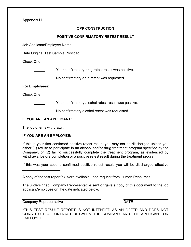Appendix H

### **OPP CONSTRUCTION**

#### **POSITIVE CONFIRMATORY RETEST RESULT**

Job Applicant/Employee Name:

Date Original Test Sample Provided :

Check One:

Your confirmatory drug retest result was positive.

No confirmatory drug retest was requested.

#### **For Employees:**

Check One:

Your confirmatory alcohol retest result was positive.

No confirmatory alcohol retest was requested.

#### **IF YOU ARE AN APPLICANT:**

The job offer is withdrawn.

#### **IF YOU ARE AN EMPLOYEE:**

If this is your first confirmed positive retest result, you may not be discharged unless you either (1) refuse to participate in an alcohol and/or drug treatment program specified by the Company, or (2) fail to successfully complete the treatment program, as evidenced by withdrawal before completion or a positive retest result during the treatment program.

If this was your second confirmed positive retest result, you will be discharged effective

A copy of the test report(s) is/are available upon request from Human Resources.

The undersigned Company Representative sent or gave a copy of this document to the job applicant/employee on the date indicated below.

Company Representative DATE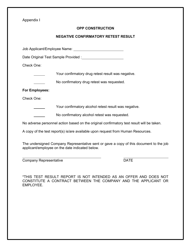Appendix I

#### **OPP CONSTRUCTION**

#### **NEGATIVE CONFIRMATORY RETEST RESULT**

Job Applicant/Employee Name:

Date Original Test Sample Provided :

Check One:

Your confirmatory drug retest result was negative.

No confirmatory drug retest was requested.

#### **For Employees:**

Check One:

Your confirmatory alcohol retest result was negative.

No confirmatory alcohol retest was requested.

No adverse personnel action based on the original confirmatory test result will be taken.

A copy of the test report(s) is/are available upon request from Human Resources.

The undersigned Company Representative sent or gave a copy of this document to the job applicant/employee on the date indicated below.

Company Representative DATE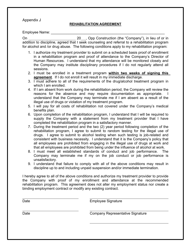Appendix J

#### **REHABILITATION AGREEMENT**

Employee Name:

On 20 , Opp Construction (the "Company"), in lieu of or in addition to discipline, agreed that I seek counseling and referral to a rehabilitation program for alcohol and /or drug abuse. The following conditions apply to my rehabilitation program:

- 1. I authorize my treatment provider to submit on a scheduled basis proof of enrollment in a rehabilitation program and proof of attendance to the Company's Director of Human Resources. I understand that my attendance will be monitored closely and the Company may institute disciplinary procedures if I do not regularly attend all sessions.
- 2. I must be enrolled in a treatment program **within two weeks of signing this agreement**. If I do not enroll it will result in my immediate discharge.
- 3. I must adhere to all of the requirements of the drug/alcohol treatment program in which I am enrolled.
- 4. If I am absent from work during the rehabilitation period, the Company will review the reasons for the absence and may require documentation as appropriate. understand that the Company may terminate me if I am absent as a result of the illegal use of drugs or violation of my treatment program.
- 5. I will pay for all costs of rehabilitation not covered under the Company's medical benefits plan.
- 6. Upon completion of the rehabilitation program, I understand that I will be required to supply the Company with a statement from my treatment provider that I have completed the rehabilitation program in a satisfactory manner.
- 7. During the treatment period and the two (2) year period following completion of the rehabilitation program, I agree to submit to random testing for the illegal use of drugs. I agree to submit to alcohol testing when such testing is job-related and consistent with business necessity. I understand that it is the Company's policy that all employees are prohibited from engaging in the illegal use of drugs at work and that all employees are prohibited from being under the influence of alcohol at work.
- 8. I must meet all established standards of conduct and job performance. The Company may terminate me if my on the job conduct or job performance is unsatisfactory.
- 9. I understand that failure to comply with all of the above conditions may result in discipline up to and including unpaid suspension and/or immediate termination.

I hereby agree to all of the above conditions and authorize my treatment provider to provide the Company with proof of my enrollment and attendance at the recommended rehabilitation program. This agreement does not alter my employment status nor create a binding employment contract or modify any existing contract.

Date **Employee** Signature

Date Company Representative Signature